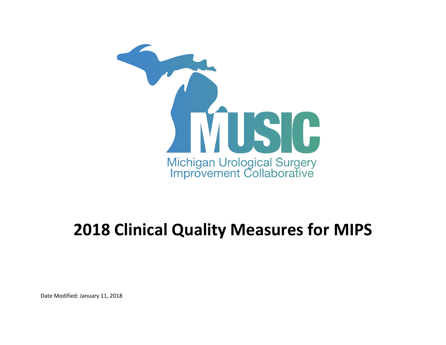

## **2018 Clinical Quality Measures for MIPS**

Date Modified: January 11, 2018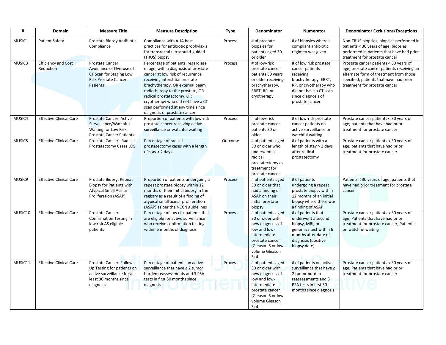| #       | <b>Domain</b>                           | <b>Measure Title</b>                                                                                                       | <b>Measure Description</b>                                                                                                                                                                                                                                                                                                                                     | Type    | Denominator                                                                                                                                                    | <b>Numerator</b>                                                                                                                                                            | <b>Denominator Exclusions/Exceptions</b>                                                                                                                                                                   |
|---------|-----------------------------------------|----------------------------------------------------------------------------------------------------------------------------|----------------------------------------------------------------------------------------------------------------------------------------------------------------------------------------------------------------------------------------------------------------------------------------------------------------------------------------------------------------|---------|----------------------------------------------------------------------------------------------------------------------------------------------------------------|-----------------------------------------------------------------------------------------------------------------------------------------------------------------------------|------------------------------------------------------------------------------------------------------------------------------------------------------------------------------------------------------------|
| MUSIC1  | <b>Patient Safety</b>                   | Prostate Biopsy Antibiotic<br>Compliance                                                                                   | Compliance with AUA best<br>practices for antibiotic prophylaxis<br>for transrectal ultrasound-guided<br>(TRUS) biopsy                                                                                                                                                                                                                                         | Process | # of prostate<br>biopsies for<br>patients aged 30<br>or older                                                                                                  | # of biopsies where a<br>compliant antibiotic<br>regimen was given                                                                                                          | Non-TRUS biopsies; biopsies performed in<br>patients < 30 years of age; biopsies<br>performed in patients that have had prior<br>treatment for prostate cancer                                             |
| MUSIC3  | <b>Efficiency and Cost</b><br>Reduction | Prostate Cancer:<br>Avoidance of Overuse of<br>CT Scan for Staging Low<br><b>Risk Prostate Cancer</b><br>Patients          | Percentage of patients, regardless<br>of age, with a diagnosis of prostate<br>cancer at low risk of recurrence<br>receiving interstitial prostate<br>brachytherapy, OR external beam<br>radiotherapy to the prostate, OR<br>radical prostatectomy, OR<br>cryotherapy who did not have a CT<br>scan performed at any time since<br>diagnosis of prostate cancer | Process | # of low-risk<br>prostate cancer<br>patients 30 years<br>or older receiving<br>brachytherapy,<br>EBRT, RP, or<br>cryotherapy                                   | # of low risk prostate<br>cancer patients<br>receiving<br>brachytherapy, EBRT,<br>RP, or cryotherapy who<br>did not have a CT scan<br>since diagnosis of<br>prostate cancer | Prostate cancer patients < 30 years of<br>age; prostate cancer patients receiving an<br>alternate form of treatment from those<br>specified; patients that have had prior<br>treatment for prostate cancer |
| MUSIC4  | <b>Effective Clinical Care</b>          | <b>Prostate Cancer: Active</b><br>Surveillance/Watchful<br>Waiting for Low Risk<br><b>Prostate Cancer Patients</b>         | Proportion of patients with low-risk<br>prostate cancer receiving active<br>surveillance or watchful waiting                                                                                                                                                                                                                                                   | Process | # of low-risk<br>prostate cancer<br>patients 30 or<br>older                                                                                                    | # of low-risk prostate<br>cancer patients on<br>active surveillance or<br>watchful waiting                                                                                  | Prostate cancer patients < 30 years of<br>age; patients that have had prior<br>treatment for prostate cancer                                                                                               |
| MUSIC5  | <b>Effective Clinical Care</b>          | Prostate Cancer: Radical<br><b>Prostatectomy Cases LOS</b>                                                                 | Percentage of radical<br>prostatectomy cases with a length<br>of stay $> 2$ days                                                                                                                                                                                                                                                                               | Outcome | # of patients aged<br>30 or older who<br>underwent a<br>radical<br>prostatectomy as<br>treatment for<br>prostate cancer                                        | # of patients with a<br>length of stay > 2 days<br>after radical<br>prostatectomy                                                                                           | Prostate cancer patients < 30 years of<br>age; patients that have had prior<br>treatment for prostate cancer                                                                                               |
| MUSIC9  | <b>Effective Clinical Care</b>          | Prostate Biopsy: Repeat<br><b>Biopsy for Patients with</b><br><b>Atypical Small Acinar</b><br>Proliferation (ASAP)         | Proportion of patients undergoing a<br>repeat prostate biopsy within 12<br>months of their initial biopsy in the<br>registry as a result of a finding of<br>atypical small acinar proliferation<br>(ASAP) as per the NCCN guidelines                                                                                                                           | Process | # of patients aged<br>30 or older that<br>had a finding of<br>ASAP on their<br>initial prostate<br>biopsy                                                      | # of patients<br>undergoing a repeat<br>prostate biopsy within<br>12 months of an initial<br>biopsy where there was<br>a finding of ASAP                                    | Patients < 30 years of age; patients that<br>have had prior treatment for prostate<br>cancer                                                                                                               |
| MUSIC10 | <b>Effective Clinical Care</b>          | Prostate Cancer:<br>Confirmation Testing in<br>low risk AS eligible<br>patients                                            | Percentage of low risk patients that<br>are eligible for active surveillance<br>who receive confirmation testing<br>within 6 months of diagnosis                                                                                                                                                                                                               | Process | # of patients aged<br>30 or older with<br>new diagnosis of<br>low and low-<br>intermediate<br>prostate cancer<br>(Gleason 6 or low<br>volume Gleason<br>$3+4)$ | # of patients that<br>underwent a second<br>biopsy, MRI, or<br>genomics test within 6<br>months after date of<br>diagnosis (positive<br>biopsy date)                        | Prostate cancer patients < 30 years of<br>age; Patients that have had prior<br>treatment for prostate cancer; Patients<br>on watchful waiting                                                              |
| MUSIC11 | <b>Effective Clinical Care</b>          | Prostate Cancer: Follow-<br>Up Testing for patients on<br>active surveillance for at<br>least 30 months since<br>diagnosis | Percentage of patients on active<br>surveillance that have ≥ 2 tumor<br>burden reassessments and 3 PSA<br>tests in first 30 months since<br>diagnosis                                                                                                                                                                                                          | Process | # of patients aged<br>30 or older with<br>new diagnosis of<br>low and low-<br>intermediate<br>prostate cancer<br>(Gleason 6 or low<br>volume Gleason<br>$3+4)$ | # of patients on active<br>surveillance that have ≥<br>2 tumor burden<br>reassessments and 3<br>PSA tests in first 30<br>months since diagnosis                             | Prostate cancer patients < 30 years of<br>age; Patients that have had prior<br>treatment for prostate cancer                                                                                               |